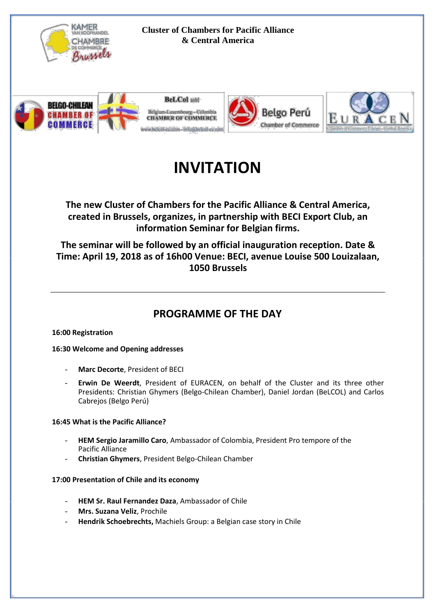

#### **Cluster of Chambers for Pacific Alliance & Central America**









# **INVITATION**

**The new Cluster of Chambers for the Pacific Alliance & Central America, created in Brussels, organizes, in partnership with BECI Export Club, an information Seminar for Belgian firms.**

**The seminar will be followed by an official inauguration reception. Date & Time: April 19, 2018 as of 16h00 Venue: BECI, avenue Louise 500 Louizalaan, 1050 Brussels**

## **PROGRAMME OF THE DAY**

#### **16:00 Registration**

#### **16:30 Welcome and Opening addresses**

- **Marc Decorte**, President of BECI
- **Erwin De Weerdt**, President of EURACEN, on behalf of the Cluster and its three other Presidents: Christian Ghymers (Belgo-Chilean Chamber), Daniel Jordan (BeLCOL) and Carlos Cabrejos (Belgo Perú)

#### **16:45 What is the Pacific Alliance?**

- **HEM Sergio Jaramillo Caro**, Ambassador of Colombia, President Pro tempore of the Pacific Alliance
- **Christian Ghymers**, President Belgo-Chilean Chamber

#### **17:00 Presentation of Chile and its economy**

- **HEM Sr. Raul Fernandez Daza**, Ambassador of Chile
- **Mrs. Suzana Veliz**, Prochile
- **Hendrik Schoebrechts,** Machiels Group: a Belgian case story in Chile